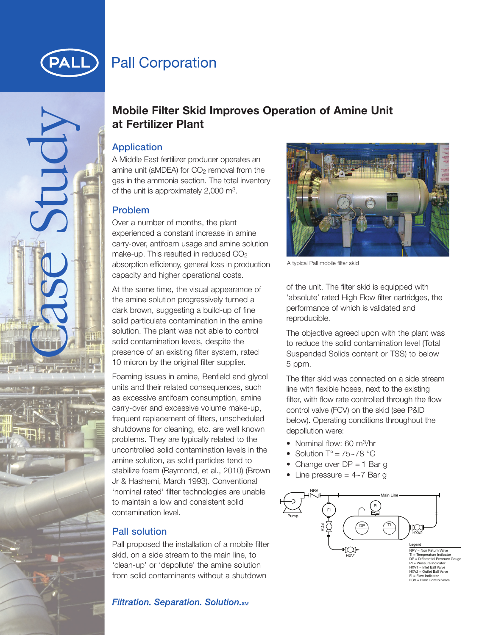

# **Pall Corporation**

Mobile Fi<br>
at Fertiliz<br>
Application<br>
A Middle East<br>
amine unit (aM<br>
gas in the amm<br>
of the unit is are<br>
over a numbe<br>
experienced a<br>
carry-over, anti<br>
make-up. This<br>
absorption effic<br>
capacity and h<br>
At the same time amine

## **Mobile Filter Skid Improves Operation of Amine Unit at Fertilizer Plant**

A Middle East fertilizer producer operates an amine unit (aMDEA) for  $CO<sub>2</sub>$  removal from the gas in the ammonia section. The total inventory of the unit is approximately 2,000 m3.

#### **Problem**

Over a number of months, the plant experienced a constant increase in amine carry-over, antifoam usage and amine solution make-up. This resulted in reduced CO<sub>2</sub> absorption efficiency, general loss in production capacity and higher operational costs.

At the same time, the visual appearance of the amine solution progressively turned a dark brown, suggesting a build-up of fine solid particulate contamination in the amine solution. The plant was not able to control solid contamination levels, despite the presence of an existing filter system, rated 10 micron by the original filter supplier.

Foaming issues in amine, Benfield and glycol units and their related consequences, such as excessive antifoam consumption, amine carry-over and excessive volume make-up, frequent replacement of filters, unscheduled shutdowns for cleaning, etc. are well known problems. They are typically related to the uncontrolled solid contamination levels in the amine solution, as solid particles tend to stabilize foam (Raymond, et al., 2010) (Brown Jr & Hashemi, March 1993). Conventional 'nominal rated' filter technologies are unable to maintain a low and consistent solid contamination level.

### **Pall solution**

Pall proposed the installation of a mobile filter skid, on a side stream to the main line, to 'clean-up' or 'depollute' the amine solution from solid contaminants without a shutdown





A typical Pall mobile filter skid

of the unit. The filter skid is equipped with 'absolute' rated High Flow filter cartridges, the performance of which is validated and reproducible.

The objective agreed upon with the plant was to reduce the solid contamination level (Total Suspended Solids content or TSS) to below 5 ppm.

The filter skid was connected on a side stream line with flexible hoses, next to the existing filter, with flow rate controlled through the flow control valve (FCV) on the skid (see P&ID below). Operating conditions throughout the depollution were:

- Nominal flow: 60 m<sup>3</sup>/hr
- Solution  $T^{\circ} = 75 78$  °C
- Change over  $DP = 1$  Bar g
- Line pressure  $= 4-7$  Bar g